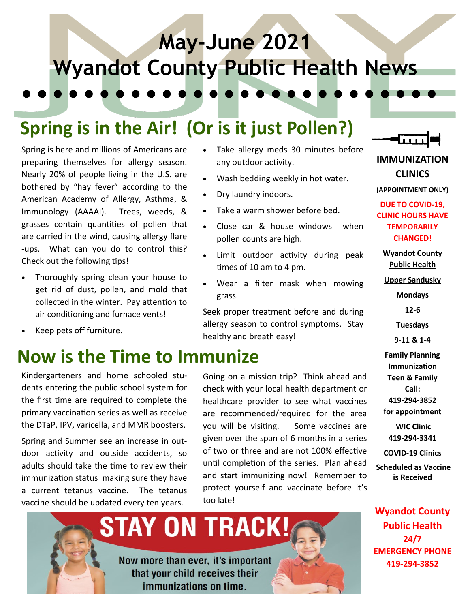## **May-June 2021 Wyandot County Public Health News**

### **Spring is in the Air! (Or is it just Pollen?)**

Spring is here and millions of Americans are preparing themselves for allergy season. Nearly 20% of people living in the U.S. are bothered by "hay fever" according to the American Academy of Allergy, Asthma, & Immunology (AAAAI). Trees, weeds, & grasses contain quantities of pollen that are carried in the wind, causing allergy flare -ups. What can you do to control this? Check out the following tips!

- Thoroughly spring clean your house to get rid of dust, pollen, and mold that collected in the winter. Pay attention to air conditioning and furnace vents!
- Keep pets off furniture.

#### **Now is the Time to Immunize**

Kindergarteners and home schooled students entering the public school system for the first time are required to complete the primary vaccination series as well as receive the DTaP, IPV, varicella, and MMR boosters.

Spring and Summer see an increase in outdoor activity and outside accidents, so adults should take the time to review their immunization status making sure they have a current tetanus vaccine. The tetanus vaccine should be updated every ten years.

- Take allergy meds 30 minutes before any outdoor activity.
- Wash bedding weekly in hot water.
- Dry laundry indoors.
- Take a warm shower before bed.
- Close car & house windows when pollen counts are high.
- Limit outdoor activity during peak times of 10 am to 4 pm.
- Wear a filter mask when mowing grass.

Seek proper treatment before and during allergy season to control symptoms. Stay healthy and breath easy!

Going on a mission trip? Think ahead and check with your local health department or healthcare provider to see what vaccines are recommended/required for the area you will be visiting. Some vaccines are given over the span of 6 months in a series of two or three and are not 100% effective until completion of the series. Plan ahead and start immunizing now! Remember to protect yourself and vaccinate before it's too late!



**IMMUNIZATION** 

**CLINICS (APPOINTMENT ONLY)**

**DUE TO COVID-19, CLINIC HOURS HAVE TEMPORARILY CHANGED!**

**Wyandot County Public Health** 

**Upper Sandusky**

**Mondays**

**12-6**

**Tuesdays**

**9-11 & 1-4**

**Family Planning Immunization Teen & Family Call: 419-294-3852 for appointment** 

**WIC Clinic 419-294-3341**

**COVID-19 Clinics**

**Scheduled as Vaccine is Received**

**Wyandot County Public Health 24/7 EMERGENCY PHONE 419-294-3852**